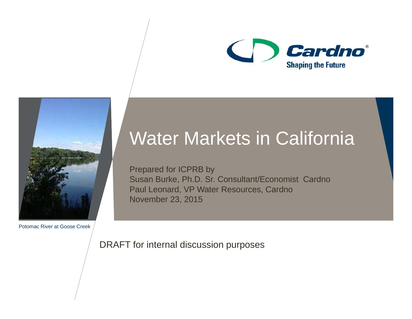



Potomac River at Goose Creek

## Water Markets in California

Prepared for ICPRB by Susan Burke, Ph.D. Sr. Consultant/Economist Cardno Paul Leonard, VP Water Resources, Cardno November 23, 2015

DRAFT for internal discussion purposes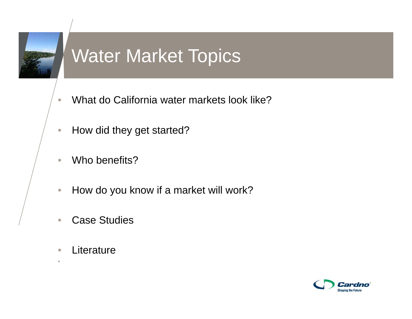

## Water Market Topics

- $\bullet$ What do California water markets look like?
- $\bullet$ How did they get started?
- $\bigcirc$ Who benefits?
- $\bullet$ How do you know if a market will work?
- $\bullet$ Case Studies
- $\bigcirc$ **Literature**

•

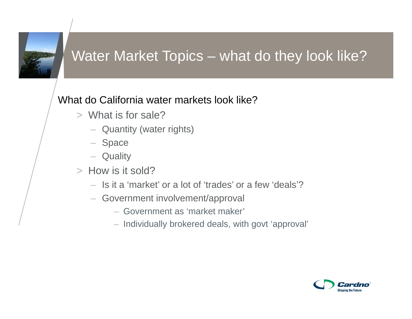

#### Water Market Topics – what do they look like?

#### What do California water markets look like?

- > What is for sale?
	- Quantity (water rights)
	- Space
	- Quality
- > How is it sold?
	- Is it a 'market' or a lot of 'trades' or a few 'deals'?
	- Government involvement/approval
		- Government as 'market maker'
		- Individually brokered deals, with govt 'approval'

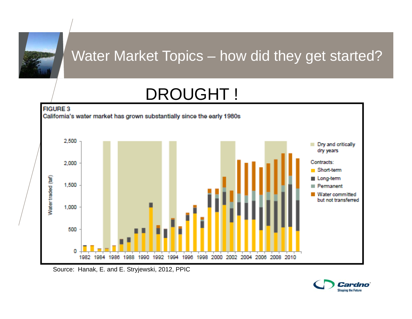

## DROUGHT !



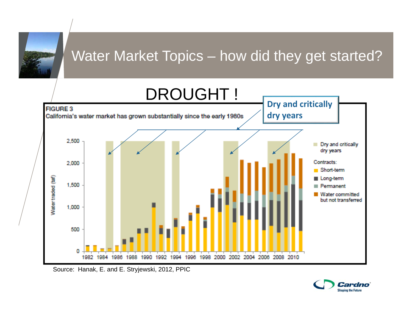

Source: Hanak, E. and E. Stryjewski, 2012, PPIC

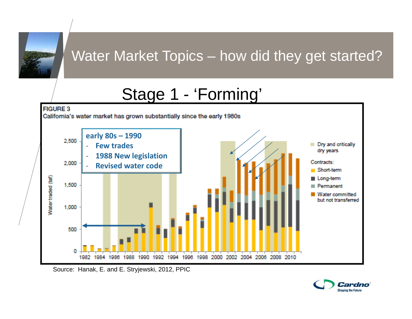

## Stage 1 - 'Forming'



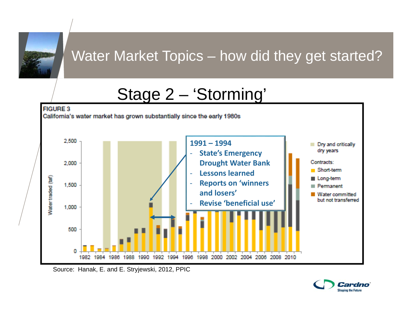

## Stage 2 – 'Storming'



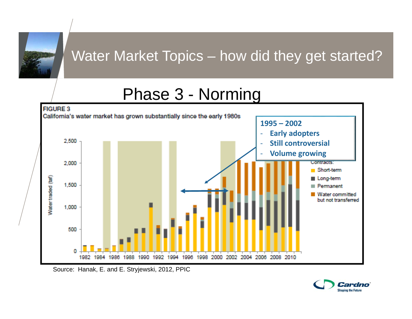

## Phase 3 - Norming



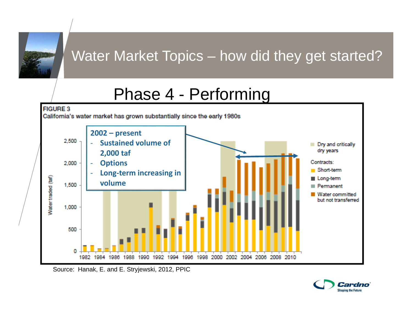

## Phase 4 - Performing



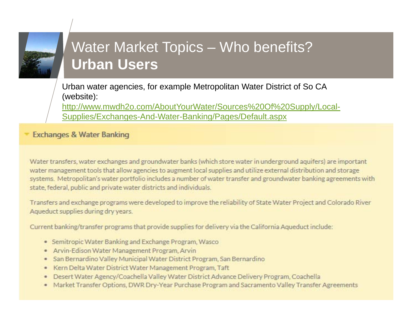#### Water Market Topics – Who benefits? **Urban Users**

Urban water agencies, for example Metropolitan Water District of So CA (website):

http://www.mwdh2o.com/AboutYourWater/Sources%20Of%20Supply/Local-Supplies/Exchanges-And-Water-Banking/Pages/Default.aspx

**Exchanges & Water Banking** 

Water transfers, water exchanges and groundwater banks (which store water in underground aquifers) are important water management tools that allow agencies to augment local supplies and utilize external distribution and storage systems. Metropolitan's water portfolio includes a number of water transfer and groundwater banking agreements with state, federal, public and private water districts and individuals.

Transfers and exchange programs were developed to improve the reliability of State Water Project and Colorado River Aqueduct supplies during dry years.

Current banking/transfer programs that provide supplies for delivery via the California Aqueduct include:

- · Semitropic Water Banking and Exchange Program, Wasco
- . Arvin-Edison Water Management Program, Arvin
- San Bernardino Valley Municipal Water District Program, San Bernardino  $\qquad \qquad \bullet$
- Kern Delta Water District Water Management Program, Taft  $\begin{array}{c} \bullet \\ \bullet \end{array}$
- Desert Water Agency/Coachella Valley Water District Advance Delivery Program, Coachella
- Market Transfer Options, DWR Dry-Year Purchase Program and Sacramento Valley Transfer Agreements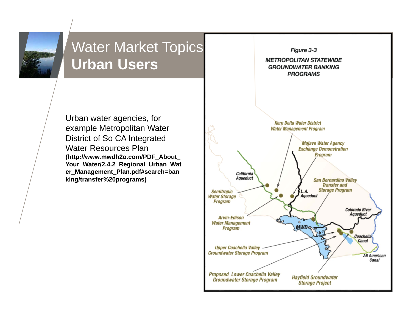

#### Water Market Topics<br>
Water Market Topics **Urban Users**

Urban water agencies, for example Metropolitan Water District of So CA Integrated Water Resources Plan **(http://www.mwdh2o.com/PDF\_About\_ Your\_Water/2.4.2\_Regional\_Urban\_Wat er\_Management\_Plan.pdf#search=ban king/transfer%20programs)**

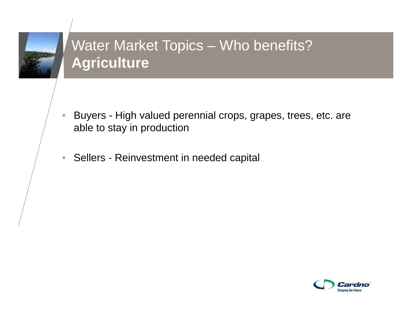

#### Water Market Topics – Who benefits? **Agriculture**

- $\bullet$  Buyers - High valued perennial crops, grapes, trees, etc. are able to stay in production
- Sellers Reinvestment in needed capital

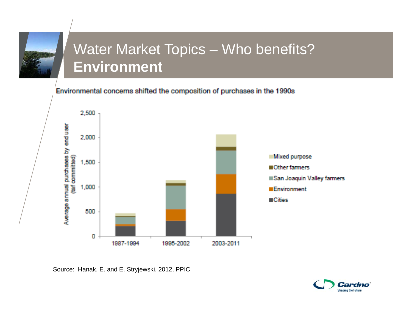

#### Water Market Topics – Who benefits? **Environment**

Environmental concerns shifted the composition of purchases in the 1990s



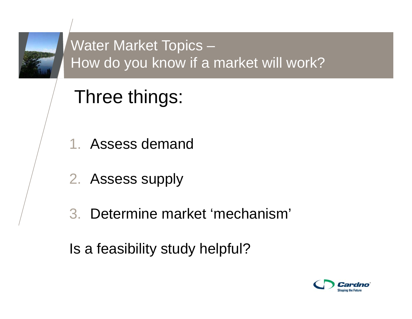

### Water Market Topics – How do you know if a market will work?

# Three things:

- 1. Assess demand
- 2. Assess supply
- 3. Determine market 'mechanism'

Is a feasibility study helpful?

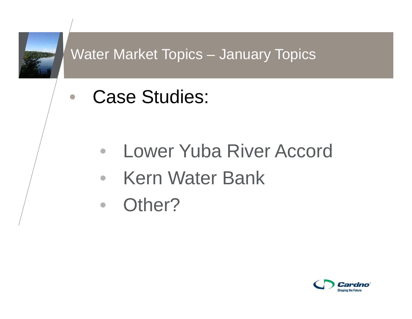

•

#### Water Market Topics – January Topics

Case Studies:

- $\bullet$ Lower Yuba River Accord
- •Kern Water Bank
- Other?